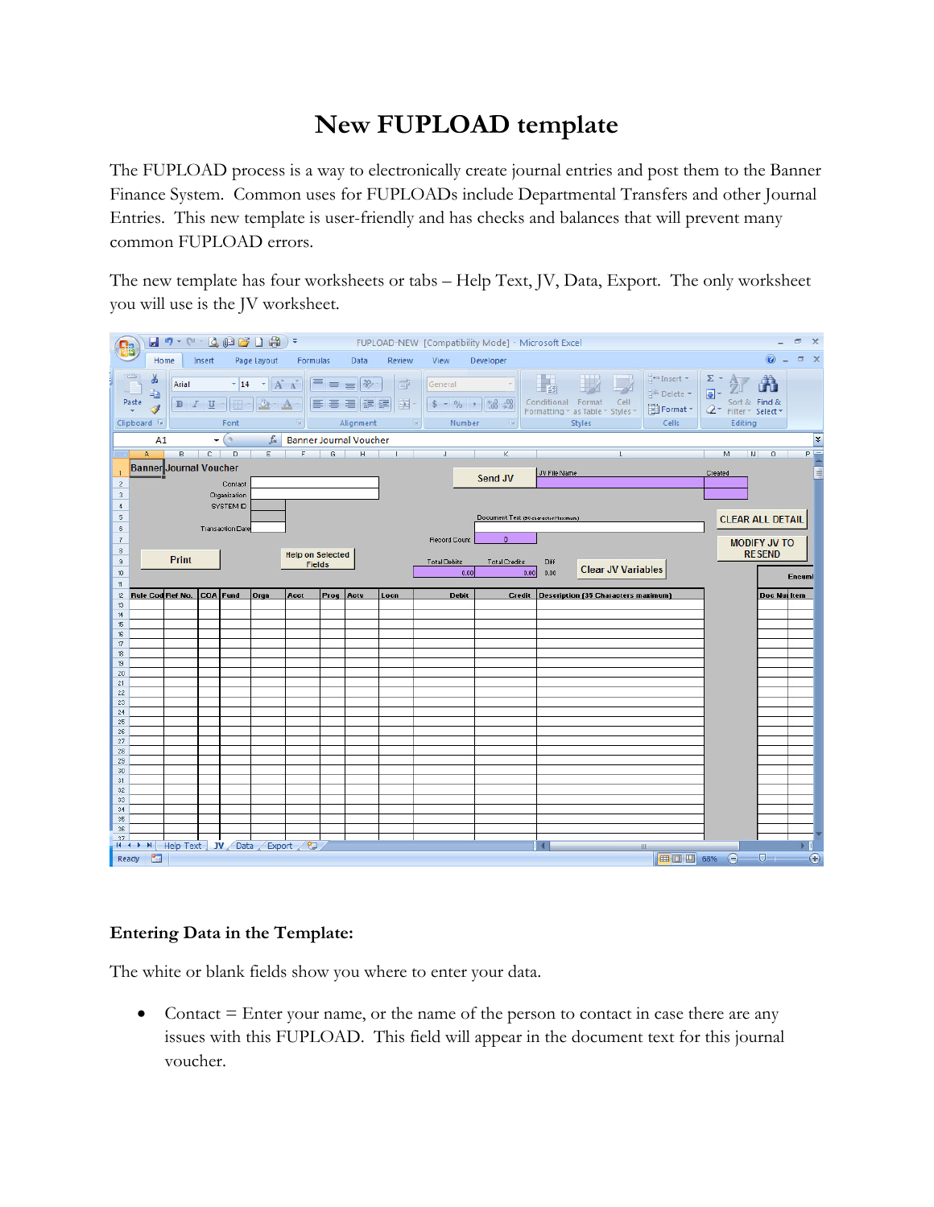## **New FUPLOAD template**

The FUPLOAD process is a way to electronically create journal entries and post them to the Banner Finance System. Common uses for FUPLOADs include Departmental Transfers and other Journal Entries. This new template is user-friendly and has checks and balances that will prevent many common FUPLOAD errors.

The new template has four worksheets or tabs – Help Text, JV, Data, Export. The only worksheet you will use is the JV worksheet.

| $H$ 5 $\sim$ (4 $\sim$ $\Delta$ $\omega$ $\approx$ $\Gamma$ $\approx$ $\sim$<br>FUPLOAD-NEW [Compatibility Mode] - Microsoft Excel<br>$\Box$ |                                             |                               |        |                         |                                          |                                    |                 |                                              |                                     |                                      |                                                                         |                           |                                                           | $\propto$                                                             |                                      |                                                    |                  |  |
|----------------------------------------------------------------------------------------------------------------------------------------------|---------------------------------------------|-------------------------------|--------|-------------------------|------------------------------------------|------------------------------------|-----------------|----------------------------------------------|-------------------------------------|--------------------------------------|-------------------------------------------------------------------------|---------------------------|-----------------------------------------------------------|-----------------------------------------------------------------------|--------------------------------------|----------------------------------------------------|------------------|--|
|                                                                                                                                              | Home                                        |                               | Insert |                         | Page Layout                              | Formulas                           |                 | Data                                         | Review                              | View                                 | Developer                                                               |                           |                                                           |                                                                       |                                      | $\circledcirc$                                     | D X              |  |
| Paste                                                                                                                                        | ¥<br>t,<br>Í<br>Clipboard Tw                | Arial                         | B I U  | $-14$<br>Font           | $\mathbf{A}$ $\mathbf{A}$                | $\mathbb{R}$                       | $\equiv \equiv$ | $\frac{1}{2}$<br>$\equiv$<br>建建<br>Alignment | 量<br>$\frac{1}{2}$<br>12            | General<br>$$ + 9/0 + 1$<br>Number   | $\overset{4}{\phantom{0}0}$ . $\overset{0}{\phantom{0}0}$<br>$\sqrt{2}$ | Conditional Format        | Cell<br>Formatting * as Table * Styles *<br><b>Styles</b> | $\frac{1}{2}$ to Insert $\tau$<br>Shift Delete -<br>Format *<br>Cells | Σ,<br>圓<br>$2-$                      | Â<br>Sort & Find &<br>Filter * Select *<br>Editing |                  |  |
|                                                                                                                                              | A1                                          |                               |        | $\mathbf{v}$ (a)        | $f_x$                                    |                                    |                 | <b>Banner Journal Voucher</b>                |                                     |                                      |                                                                         |                           |                                                           |                                                                       |                                      |                                                    | ¥                |  |
|                                                                                                                                              | A.                                          |                               |        | B C D                   | E                                        |                                    |                 |                                              | $F$ $G$ $H$ $1$                     | J                                    | $\mathsf K$<br>$\mathcal{A}$                                            |                           | L                                                         |                                                                       | M.                                   | N<br>0                                             | $P =$            |  |
| $\overline{2}$<br>$\mathbf{3}$                                                                                                               |                                             | <b>Banner Journal Voucher</b> |        | Contact<br>Organization |                                          |                                    |                 |                                              |                                     |                                      | Send JV                                                                 | JV File Name              |                                                           |                                                                       | Created                              |                                                    |                  |  |
| $\ddot{\phi}$<br>$5\phantom{.0}$<br>6                                                                                                        | <b>SYSTEM ID</b><br><b>Transaction Date</b> |                               |        |                         |                                          |                                    |                 |                                              |                                     |                                      | Document Text (50 character Maximum)                                    |                           |                                                           |                                                                       |                                      | <b>CLEAR ALL DETAIL</b>                            |                  |  |
| $\overline{7}$<br>$\,$ 8 $\,$<br>$^{\rm 9}$                                                                                                  | Print                                       |                               |        |                         | <b>Help on Selected</b><br><b>Fields</b> |                                    |                 |                                              | Record Count<br><b>Total Debits</b> | $\mathbf{0}$<br><b>Total Credits</b> | Diff                                                                    | <b>Clear JV Variables</b> |                                                           |                                                                       | <b>MODIFY JV TO</b><br><b>RESEND</b> |                                                    |                  |  |
| 10 <sup>10</sup><br>11                                                                                                                       |                                             |                               |        |                         |                                          |                                    |                 |                                              |                                     | 0.00                                 |                                                                         | 0.00<br>0.00              |                                                           |                                                                       |                                      |                                                    | <b>Encumi</b>    |  |
| 12                                                                                                                                           |                                             | Rule Cod Ref No. COA Fund     |        |                         | Orgn                                     | Acct                               | Prog            | Acty                                         | Locn                                | <b>Debit</b>                         | <b>Credit</b>                                                           |                           | <b>Description (35 Characters maximum)</b>                |                                                                       |                                      | <b>Doc Nur Item</b>                                |                  |  |
| 13<br>14                                                                                                                                     |                                             |                               |        |                         |                                          |                                    |                 |                                              |                                     |                                      |                                                                         |                           |                                                           |                                                                       |                                      |                                                    |                  |  |
| 15<br>16                                                                                                                                     |                                             |                               |        |                         |                                          |                                    |                 |                                              |                                     |                                      |                                                                         |                           |                                                           |                                                                       |                                      |                                                    |                  |  |
| 17                                                                                                                                           |                                             |                               |        |                         |                                          |                                    |                 |                                              |                                     |                                      |                                                                         |                           |                                                           |                                                                       |                                      |                                                    |                  |  |
| 18                                                                                                                                           |                                             |                               |        |                         |                                          |                                    |                 |                                              |                                     |                                      |                                                                         |                           |                                                           |                                                                       |                                      |                                                    |                  |  |
| 19<br>20                                                                                                                                     |                                             |                               |        |                         |                                          |                                    |                 |                                              |                                     |                                      |                                                                         |                           |                                                           |                                                                       |                                      |                                                    |                  |  |
| 21                                                                                                                                           |                                             |                               |        |                         |                                          |                                    |                 |                                              |                                     |                                      |                                                                         |                           |                                                           |                                                                       |                                      |                                                    |                  |  |
| 22                                                                                                                                           |                                             |                               |        |                         |                                          |                                    |                 |                                              |                                     |                                      |                                                                         |                           |                                                           |                                                                       |                                      |                                                    |                  |  |
| 23<br>24                                                                                                                                     |                                             |                               |        |                         |                                          |                                    |                 |                                              |                                     |                                      |                                                                         |                           |                                                           |                                                                       |                                      |                                                    |                  |  |
| 25                                                                                                                                           |                                             |                               |        |                         |                                          |                                    |                 |                                              |                                     |                                      |                                                                         |                           |                                                           |                                                                       |                                      |                                                    |                  |  |
| 26<br>27                                                                                                                                     |                                             |                               |        |                         |                                          |                                    |                 |                                              |                                     |                                      |                                                                         |                           |                                                           |                                                                       |                                      |                                                    |                  |  |
| 28                                                                                                                                           |                                             |                               |        |                         |                                          |                                    |                 |                                              |                                     |                                      |                                                                         |                           |                                                           |                                                                       |                                      |                                                    |                  |  |
| 29                                                                                                                                           |                                             |                               |        |                         |                                          |                                    |                 |                                              |                                     |                                      |                                                                         |                           |                                                           |                                                                       |                                      |                                                    |                  |  |
| 30                                                                                                                                           |                                             |                               |        |                         |                                          |                                    |                 |                                              |                                     |                                      |                                                                         |                           |                                                           |                                                                       |                                      |                                                    |                  |  |
| 31<br>32                                                                                                                                     |                                             |                               |        |                         |                                          |                                    |                 |                                              |                                     |                                      |                                                                         |                           |                                                           |                                                                       |                                      |                                                    |                  |  |
| 33                                                                                                                                           |                                             |                               |        |                         |                                          |                                    |                 |                                              |                                     |                                      |                                                                         |                           |                                                           |                                                                       |                                      |                                                    |                  |  |
| 34                                                                                                                                           |                                             |                               |        |                         |                                          |                                    |                 |                                              |                                     |                                      |                                                                         |                           |                                                           |                                                                       |                                      |                                                    |                  |  |
| 35<br>36                                                                                                                                     |                                             |                               |        |                         |                                          |                                    |                 |                                              |                                     |                                      |                                                                         |                           |                                                           |                                                                       |                                      |                                                    |                  |  |
| 37                                                                                                                                           |                                             |                               |        |                         |                                          |                                    |                 |                                              |                                     |                                      |                                                                         |                           |                                                           |                                                                       |                                      |                                                    |                  |  |
|                                                                                                                                              | Ready <b>1999</b>                           |                               |        |                         |                                          | H + ▶ N Help Text JV Data Export 2 |                 |                                              |                                     |                                      |                                                                         |                           |                                                           | III<br>■□凹 68%                                                        | $\bigodot$                           | $\nabla$                                           | ь<br>$\bigoplus$ |  |

## **Entering Data in the Template:**

The white or blank fields show you where to enter your data.

• Contact  $=$  Enter your name, or the name of the person to contact in case there are any issues with this FUPLOAD. This field will appear in the document text for this journal voucher.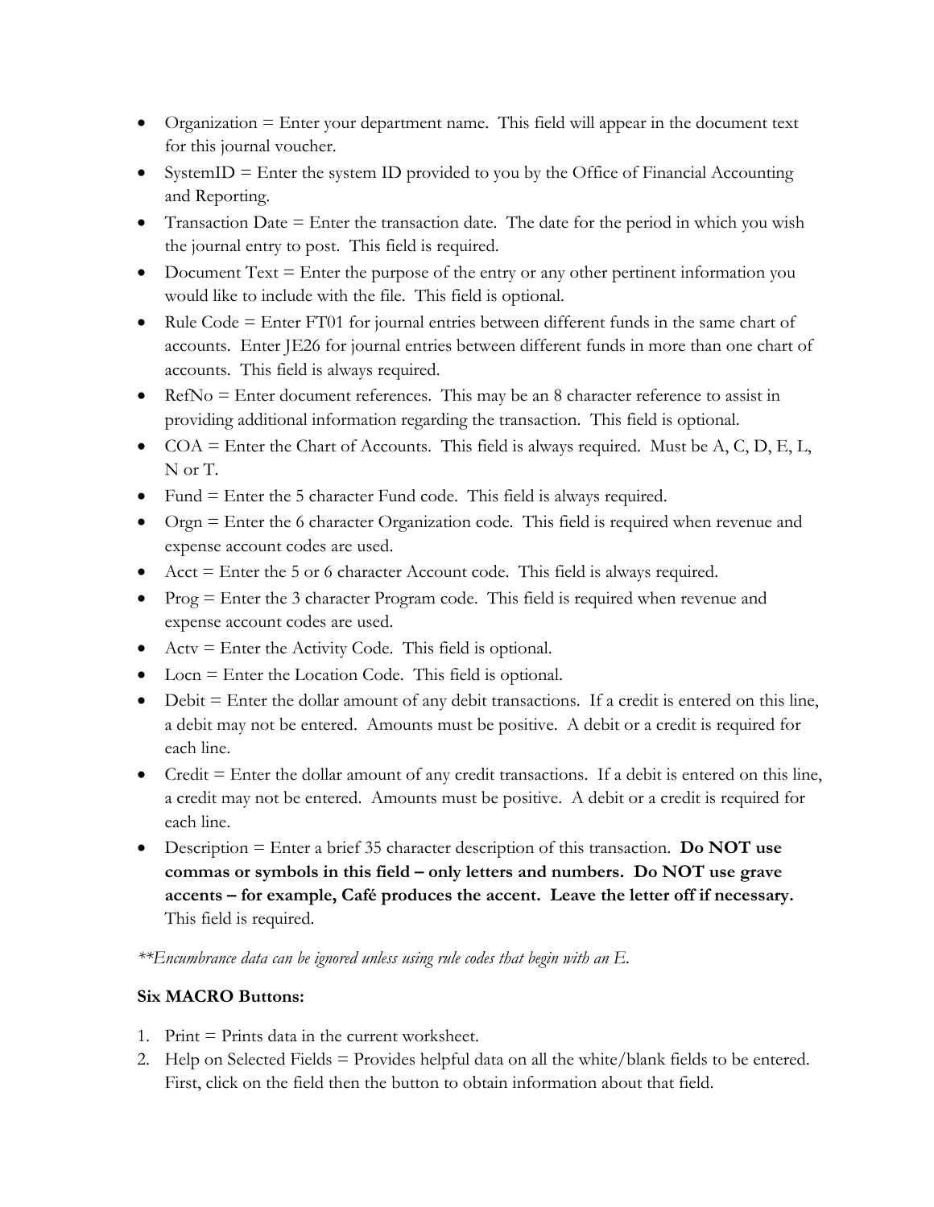- $\bullet$  Organization = Enter your department name. This field will appear in the document text for this journal voucher.
- $\bullet$  SystemID = Enter the system ID provided to you by the Office of Financial Accounting and Reporting.
- Transaction Date  $=$  Enter the transaction date. The date for the period in which you wish the journal entry to post. This field is required.
- Document Text  $=$  Enter the purpose of the entry or any other pertinent information you would like to include with the file. This field is optional.
- $\bullet$  Rule Code = Enter FT01 for journal entries between different funds in the same chart of accounts. Enter JE26 for journal entries between different funds in more than one chart of accounts. This field is always required.
- $\bullet$  RefNo = Enter document references. This may be an 8 character reference to assist in providing additional information regarding the transaction. This field is optional.
- $COA =$  Enter the Chart of Accounts. This field is always required. Must be A, C, D, E, L, N or T.
- $\bullet$  Fund = Enter the 5 character Fund code. This field is always required.
- Orgn = Enter the 6 character Organization code. This field is required when revenue and expense account codes are used.
- $\bullet$  Acct = Enter the 5 or 6 character Account code. This field is always required.
- $\bullet$  Prog = Enter the 3 character Program code. This field is required when revenue and expense account codes are used.
- $\bullet$  Actv = Enter the Activity Code. This field is optional.
- Locn = Enter the Location Code. This field is optional.
- $\bullet$  Debit = Enter the dollar amount of any debit transactions. If a credit is entered on this line, a debit may not be entered. Amounts must be positive. A debit or a credit is required for each line.
- $\bullet$  Credit = Enter the dollar amount of any credit transactions. If a debit is entered on this line, a credit may not be entered. Amounts must be positive. A debit or a credit is required for each line.
- Description = Enter a brief 35 character description of this transaction. **Do NOT use commas or symbols in this field – only letters and numbers. Do NOT use grave accents – for example, Café produces the accent. Leave the letter off if necessary.** This field is required.

*\*\*Encumbrance data can be ignored unless using rule codes that begin with an E.*

## **Six MACRO Buttons:**

- 1. Print  $=$  Prints data in the current worksheet.
- 2. Help on Selected Fields = Provides helpful data on all the white/blank fields to be entered. First, click on the field then the button to obtain information about that field.